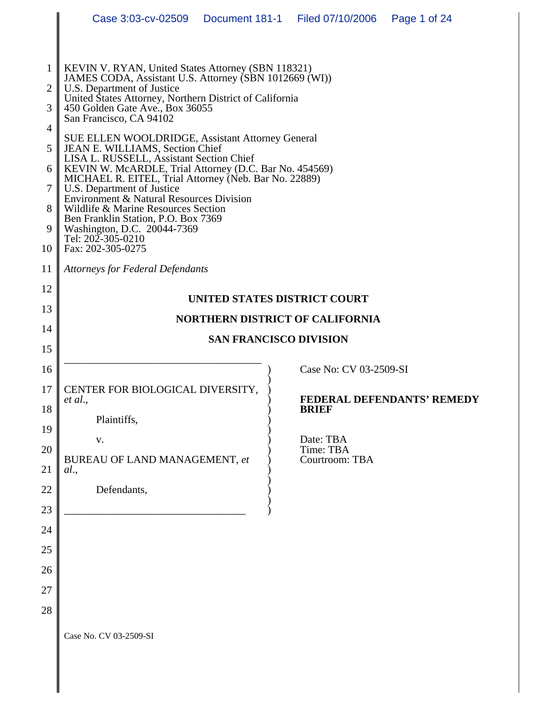|                                                                  | Case 3:03-cv-02509    Document 181-1    Filed 07/10/2006                                                                                                                                                                                                                                                                                                                                                                                                                                                                                                                                                                                                                                                                                                   |                               |                                          | Page 1 of 24               |  |
|------------------------------------------------------------------|------------------------------------------------------------------------------------------------------------------------------------------------------------------------------------------------------------------------------------------------------------------------------------------------------------------------------------------------------------------------------------------------------------------------------------------------------------------------------------------------------------------------------------------------------------------------------------------------------------------------------------------------------------------------------------------------------------------------------------------------------------|-------------------------------|------------------------------------------|----------------------------|--|
| $\mathbf{1}$<br>2<br>3<br>4<br>5<br>6<br>7<br>8<br>9<br>10<br>11 | KEVIN V. RYAN, United States Attorney (SBN 118321)<br>JAMES CODA, Assistant U.S. Attorney (SBN 1012669 (WI))<br>U.S. Department of Justice<br>United States Attorney, Northern District of California<br>450 Golden Gate Ave., Box 36055<br>San Francisco, CA 94102<br>SUE ELLEN WOOLDRIDGE, Assistant Attorney General<br>JEAN E. WILLIAMS, Section Chief<br>LISA L. RUSSELL, Assistant Section Chief<br>KEVIN W. McARDLE, Trial Attorney (D.C. Bar No. 454569)<br>MICHAEL R. EITEL, Trial Attorney (Neb. Bar No. 22889)<br>U.S. Department of Justice<br>Environment & Natural Resources Division<br>Wildlife & Marine Resources Section<br>Ben Franklin Station, P.O. Box 7369<br>Washington, D.C. 20044-7369<br>Tel: 202-305-0210<br>Fax: 202-305-0275 |                               |                                          |                            |  |
| 12                                                               |                                                                                                                                                                                                                                                                                                                                                                                                                                                                                                                                                                                                                                                                                                                                                            |                               |                                          |                            |  |
| 13                                                               |                                                                                                                                                                                                                                                                                                                                                                                                                                                                                                                                                                                                                                                                                                                                                            | UNITED STATES DISTRICT COURT  | <b>NORTHERN DISTRICT OF CALIFORNIA</b>   |                            |  |
| 14                                                               |                                                                                                                                                                                                                                                                                                                                                                                                                                                                                                                                                                                                                                                                                                                                                            | <b>SAN FRANCISCO DIVISION</b> |                                          |                            |  |
| 15                                                               |                                                                                                                                                                                                                                                                                                                                                                                                                                                                                                                                                                                                                                                                                                                                                            |                               |                                          |                            |  |
| 16<br>17<br>18                                                   | CENTER FOR BIOLOGICAL DIVERSITY,<br>et al.,<br>Plaintiffs,                                                                                                                                                                                                                                                                                                                                                                                                                                                                                                                                                                                                                                                                                                 |                               | Case No: CV 03-2509-SI<br><b>BRIEF</b>   | FEDERAL DEFENDANTS' REMEDY |  |
| 19<br>20<br>21                                                   | V.<br>BUREAU OF LAND MANAGEMENT, et<br>al.,                                                                                                                                                                                                                                                                                                                                                                                                                                                                                                                                                                                                                                                                                                                |                               | Date: TBA<br>Time: TBA<br>Courtroom: TBA |                            |  |
| 22<br>23                                                         | Defendants,                                                                                                                                                                                                                                                                                                                                                                                                                                                                                                                                                                                                                                                                                                                                                |                               |                                          |                            |  |
| 24                                                               |                                                                                                                                                                                                                                                                                                                                                                                                                                                                                                                                                                                                                                                                                                                                                            |                               |                                          |                            |  |
| 25                                                               |                                                                                                                                                                                                                                                                                                                                                                                                                                                                                                                                                                                                                                                                                                                                                            |                               |                                          |                            |  |
| 26                                                               |                                                                                                                                                                                                                                                                                                                                                                                                                                                                                                                                                                                                                                                                                                                                                            |                               |                                          |                            |  |
| 27                                                               |                                                                                                                                                                                                                                                                                                                                                                                                                                                                                                                                                                                                                                                                                                                                                            |                               |                                          |                            |  |
| 28                                                               |                                                                                                                                                                                                                                                                                                                                                                                                                                                                                                                                                                                                                                                                                                                                                            |                               |                                          |                            |  |
|                                                                  | Case No. CV 03-2509-SI                                                                                                                                                                                                                                                                                                                                                                                                                                                                                                                                                                                                                                                                                                                                     |                               |                                          |                            |  |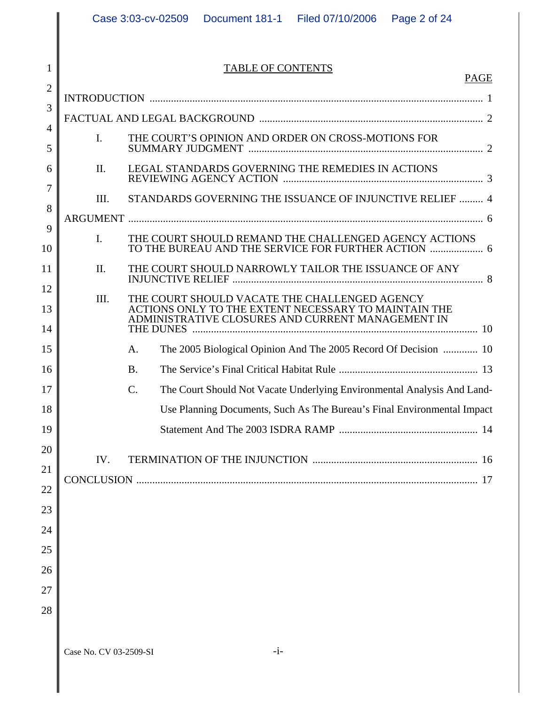TABLE OF CONTENTS

PAGE

| $\overline{2}$ |           |                                                                                                                               |  |
|----------------|-----------|-------------------------------------------------------------------------------------------------------------------------------|--|
| 3              |           |                                                                                                                               |  |
| $\overline{4}$ |           |                                                                                                                               |  |
| 5              | I.        | THE COURT'S OPINION AND ORDER ON CROSS-MOTIONS FOR                                                                            |  |
| 6              | II.       | LEGAL STANDARDS GOVERNING THE REMEDIES IN ACTIONS                                                                             |  |
| 7              | III.      | STANDARDS GOVERNING THE ISSUANCE OF INJUNCTIVE RELIEF  4                                                                      |  |
| 8              |           |                                                                                                                               |  |
| 9<br>10        | I.        | THE COURT SHOULD REMAND THE CHALLENGED AGENCY ACTIONS<br>TO THE BUREAU AND THE SERVICE FOR FURTHER ACTION  6                  |  |
| 11             | $\prod$ . | THE COURT SHOULD NARROWLY TAILOR THE ISSUANCE OF ANY                                                                          |  |
| 12             | III.      | THE COURT SHOULD VACATE THE CHALLENGED AGENCY                                                                                 |  |
| 13<br>14       |           | ACTIONS ONLY TO THE EXTENT NECESSARY TO MAINTAIN THE<br>ADMINISTRATIVE CLOSURES AND CURRENT MANAGEMENT IN<br><b>THE DUNES</b> |  |
| 15             |           | The 2005 Biological Opinion And The 2005 Record Of Decision  10<br>A.                                                         |  |
| 16             |           | <b>B.</b>                                                                                                                     |  |
| 17             |           | The Court Should Not Vacate Underlying Environmental Analysis And Land-<br>$\mathcal{C}$ .                                    |  |
| 18             |           | Use Planning Documents, Such As The Bureau's Final Environmental Impact                                                       |  |
| 19             |           |                                                                                                                               |  |
| 20             |           |                                                                                                                               |  |
| 21             | IV.       |                                                                                                                               |  |
| 22             |           |                                                                                                                               |  |
| 23             |           |                                                                                                                               |  |
| 24             |           |                                                                                                                               |  |
| 25             |           |                                                                                                                               |  |
| 26             |           |                                                                                                                               |  |
| 27             |           |                                                                                                                               |  |
| 28             |           |                                                                                                                               |  |
|                |           |                                                                                                                               |  |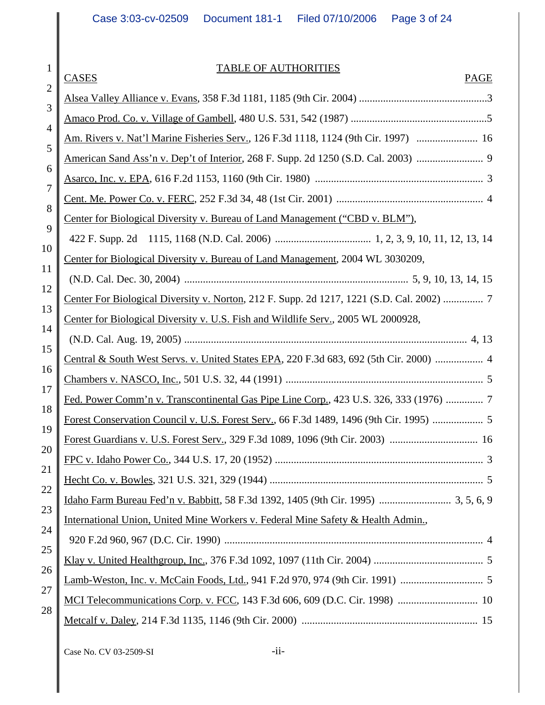# TABLE OF AUTHORITIES

|                     | <b>CASES</b><br><b>PAGE</b>                                                             |
|---------------------|-----------------------------------------------------------------------------------------|
| $\overline{2}$<br>3 |                                                                                         |
| 4                   |                                                                                         |
| 5                   | Am. Rivers v. Nat'l Marine Fisheries Serv., 126 F.3d 1118, 1124 (9th Cir. 1997)  16     |
| 6                   | American Sand Ass'n v. Dep't of Interior, 268 F. Supp. 2d 1250 (S.D. Cal. 2003)         |
| 7                   |                                                                                         |
| 8                   |                                                                                         |
| 9                   | Center for Biological Diversity v. Bureau of Land Management ("CBD v. BLM"),            |
| 10                  |                                                                                         |
| 11                  | Center for Biological Diversity v. Bureau of Land Management, 2004 WL 3030209,          |
| 12                  |                                                                                         |
| 13                  | Center For Biological Diversity v. Norton, 212 F. Supp. 2d 1217, 1221 (S.D. Cal. 2002)  |
| 14                  | Center for Biological Diversity v. U.S. Fish and Wildlife Serv., 2005 WL 2000928,       |
| 15                  |                                                                                         |
| 16                  | Central & South West Servs. v. United States EPA, 220 F.3d 683, 692 (5th Cir. 2000)  4  |
| 17                  |                                                                                         |
| 18                  | Fed. Power Comm'n v. Transcontinental Gas Pipe Line Corp., 423 U.S. 326, 333 (1976)     |
| 19                  | Forest Conservation Council v. U.S. Forest Serv., 66 F.3d 1489, 1496 (9th Cir. 1995)  5 |
| 20                  |                                                                                         |
| 21                  |                                                                                         |
| 22                  |                                                                                         |
| 23                  |                                                                                         |
| 24                  | International Union, United Mine Workers v. Federal Mine Safety & Health Admin.,        |
| 25                  |                                                                                         |
| 26                  |                                                                                         |
| 27                  |                                                                                         |
| 28                  |                                                                                         |
|                     |                                                                                         |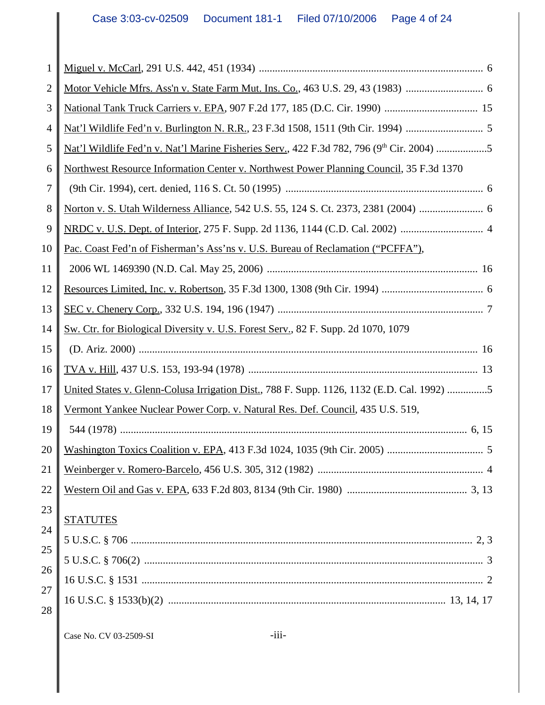| 1  |                                                                                                               |
|----|---------------------------------------------------------------------------------------------------------------|
| 2  |                                                                                                               |
| 3  |                                                                                                               |
| 4  |                                                                                                               |
| 5  | <u>Nat'l Wildlife Fed'n v. Nat'l Marine Fisheries Serv.</u> , 422 F.3d 782, 796 (9 <sup>th</sup> Cir. 2004) 5 |
| 6  | Northwest Resource Information Center v. Northwest Power Planning Council, 35 F.3d 1370                       |
| 7  |                                                                                                               |
| 8  |                                                                                                               |
| 9  |                                                                                                               |
| 10 | Pac. Coast Fed'n of Fisherman's Ass'ns v. U.S. Bureau of Reclamation ("PCFFA"),                               |
| 11 |                                                                                                               |
| 12 |                                                                                                               |
| 13 |                                                                                                               |
| 14 | Sw. Ctr. for Biological Diversity v. U.S. Forest Serv., 82 F. Supp. 2d 1070, 1079                             |
|    |                                                                                                               |
| 15 |                                                                                                               |
| 16 |                                                                                                               |
| 17 | United States v. Glenn-Colusa Irrigation Dist., 788 F. Supp. 1126, 1132 (E.D. Cal. 1992) 5                    |
| 18 | Vermont Yankee Nuclear Power Corp. v. Natural Res. Def. Council, 435 U.S. 519,                                |
| 19 |                                                                                                               |
| 20 |                                                                                                               |
| 21 |                                                                                                               |
| 22 |                                                                                                               |
| 23 |                                                                                                               |
| 24 | <b>STATUTES</b>                                                                                               |
| 25 |                                                                                                               |
| 26 |                                                                                                               |
| 27 |                                                                                                               |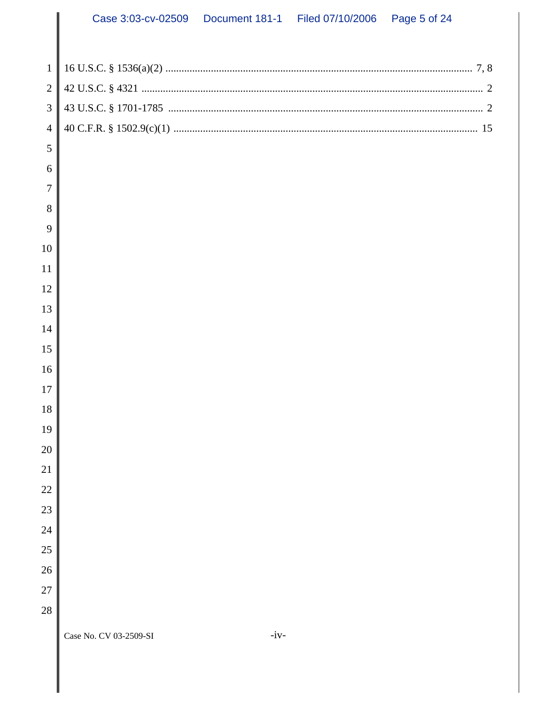| $\mathbf{1}$   |                                  |
|----------------|----------------------------------|
| $\overline{2}$ |                                  |
| 3              |                                  |
| $\overline{4}$ |                                  |
| 5              |                                  |
| 6              |                                  |
| 7              |                                  |
| 8              |                                  |
| 9              |                                  |
| 10             |                                  |
| 11             |                                  |
| 12             |                                  |
| 13             |                                  |
| 14             |                                  |
| 15             |                                  |
| 16             |                                  |
| 17             |                                  |
| 18             |                                  |
| 19             |                                  |
| 20             |                                  |
| 21             |                                  |
| 22             |                                  |
| 23             |                                  |
| 24             |                                  |
| 25             |                                  |
| 26             |                                  |
| 27             |                                  |
| 28             |                                  |
|                | $-iv-$<br>Case No. CV 03-2509-SI |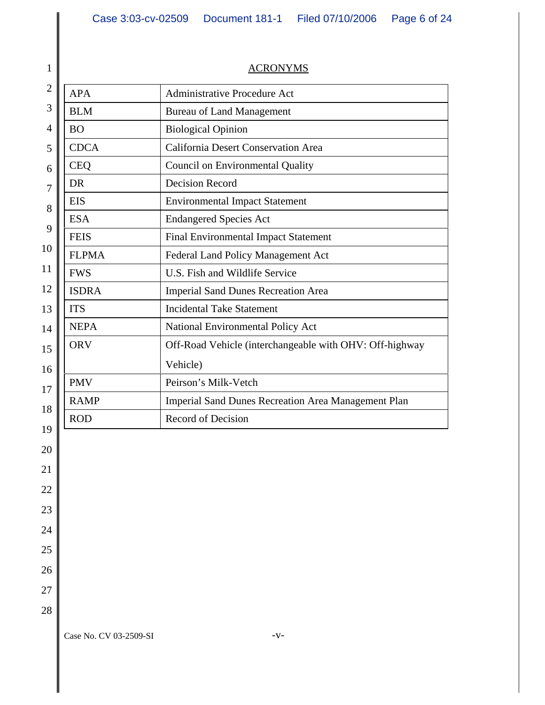| 1                                                                                                               | <b>ACRONYMS</b>                                   |                                                            |  |
|-----------------------------------------------------------------------------------------------------------------|---------------------------------------------------|------------------------------------------------------------|--|
| $\overline{2}$                                                                                                  | <b>Administrative Procedure Act</b><br><b>APA</b> |                                                            |  |
| 3<br><b>BLM</b><br><b>Bureau of Land Management</b><br>$\overline{4}$<br><b>Biological Opinion</b><br><b>BO</b> |                                                   |                                                            |  |
|                                                                                                                 |                                                   |                                                            |  |
| 5                                                                                                               | <b>CDCA</b>                                       | <b>California Desert Conservation Area</b>                 |  |
| 6                                                                                                               | <b>CEQ</b>                                        | <b>Council on Environmental Quality</b>                    |  |
| $\overline{7}$                                                                                                  | <b>DR</b>                                         | <b>Decision Record</b>                                     |  |
| 8                                                                                                               | <b>EIS</b>                                        | <b>Environmental Impact Statement</b>                      |  |
| 9                                                                                                               | <b>ESA</b>                                        | <b>Endangered Species Act</b>                              |  |
|                                                                                                                 | <b>FEIS</b>                                       | Final Environmental Impact Statement                       |  |
| 10                                                                                                              | <b>FLPMA</b>                                      | Federal Land Policy Management Act                         |  |
| 11                                                                                                              | <b>FWS</b>                                        | U.S. Fish and Wildlife Service                             |  |
| 12                                                                                                              | <b>ISDRA</b>                                      | <b>Imperial Sand Dunes Recreation Area</b>                 |  |
| 13                                                                                                              | <b>ITS</b>                                        | <b>Incidental Take Statement</b>                           |  |
| 14                                                                                                              | <b>NEPA</b>                                       | National Environmental Policy Act                          |  |
| 15                                                                                                              | <b>ORV</b>                                        | Off-Road Vehicle (interchangeable with OHV: Off-highway    |  |
| 16                                                                                                              |                                                   | Vehicle)                                                   |  |
| 17                                                                                                              | <b>PMV</b>                                        | Peirson's Milk-Vetch                                       |  |
| <b>RAMP</b><br>18                                                                                               |                                                   | <b>Imperial Sand Dunes Recreation Area Management Plan</b> |  |
|                                                                                                                 | <b>ROD</b>                                        | <b>Record of Decision</b>                                  |  |
| 19                                                                                                              |                                                   |                                                            |  |
| 20                                                                                                              |                                                   |                                                            |  |
| 21                                                                                                              |                                                   |                                                            |  |

22

23

24

25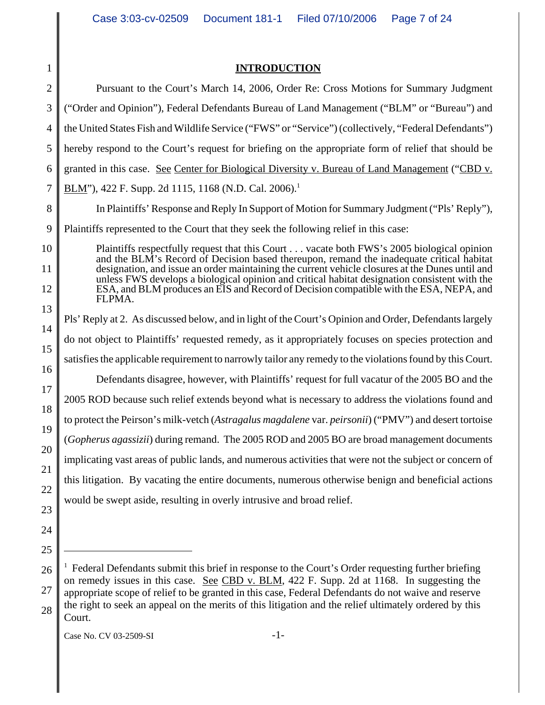| 1              | <b>TRODUCTION</b>                                                                                                                                                                                |
|----------------|--------------------------------------------------------------------------------------------------------------------------------------------------------------------------------------------------|
| $\overline{2}$ | Pursuant to the Court's March 14, 2006, Order Re: Cross Motions for Summary Judgment                                                                                                             |
| 3              | ("Order and Opinion"), Federal Defendants Bureau of Land Management ("BLM" or "Bureau") and                                                                                                      |
| 4              | the United States Fish and Wildlife Service ("FWS" or "Service") (collectively, "Federal Defendants")                                                                                            |
| 5              | hereby respond to the Court's request for briefing on the appropriate form of relief that should be                                                                                              |
| 6              | granted in this case. See Center for Biological Diversity v. Bureau of Land Management ("CBD v.                                                                                                  |
| 7              | <u>BLM</u> "), 422 F. Supp. 2d 1115, 1168 (N.D. Cal. 2006). <sup>1</sup>                                                                                                                         |
| 8              | In Plaintiffs' Response and Reply In Support of Motion for Summary Judgment ("Pls' Reply"),                                                                                                      |
| 9              | Plaintiffs represented to the Court that they seek the following relief in this case:                                                                                                            |
| 10             | Plaintiffs respectfully request that this Court vacate both FWS's 2005 biological opinion<br>and the BLM's Record of Decision based thereupon, remand the inadequate critical habitat            |
| 11             | designation, and issue an order maintaining the current vehicle closures at the Dunes until and<br>unless FWS develops a biological opinion and critical habitat designation consistent with the |
| 12             | ESA, and BLM produces an EIS and Record of Decision compatible with the ESA, NEPA, and<br>FLPMA.                                                                                                 |
| 13             | Pls' Reply at 2. As discussed below, and in light of the Court's Opinion and Order, Defendants largely                                                                                           |
| 14             | do not object to Plaintiffs' requested remedy, as it appropriately focuses on species protection and                                                                                             |
| 15             |                                                                                                                                                                                                  |
| 16             | satisfies the applicable requirement to narrowly tailor any remedy to the violations found by this Court.                                                                                        |
| 17             | Defendants disagree, however, with Plaintiffs' request for full vacatur of the 2005 BO and the                                                                                                   |
| 18             | 2005 ROD because such relief extends beyond what is necessary to address the violations found and                                                                                                |
| 19             | to protect the Peirson's milk-vetch (Astragalus magdalene var. peirsonii) ("PMV") and desert tortoise                                                                                            |
| 20             | (Gopherus agassizii) during remand. The 2005 ROD and 2005 BO are broad management documents                                                                                                      |
| 21             | implicating vast areas of public lands, and numerous activities that were not the subject or concern of                                                                                          |
| 22             | this litigation. By vacating the entire documents, numerous otherwise benign and beneficial actions                                                                                              |
| 23             | would be swept aside, resulting in overly intrusive and broad relief.                                                                                                                            |
| 24             |                                                                                                                                                                                                  |
|                |                                                                                                                                                                                                  |

<sup>26</sup> 27 28 <sup>1</sup> Federal Defendants submit this brief in response to the Court's Order requesting further briefing on remedy issues in this case. See CBD v. BLM, 422 F. Supp. 2d at 1168. In suggesting the appropriate scope of relief to be granted in this case, Federal Defendants do not waive and reserve the right to seek an appeal on the merits of this litigation and the relief ultimately ordered by this Court.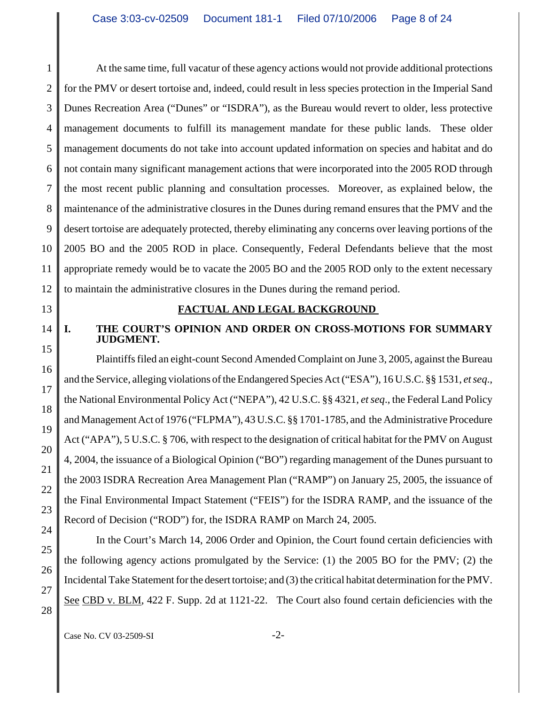1 2 3 4 5 6 7 8 9 10 11 12 At the same time, full vacatur of these agency actions would not provide additional protections for the PMV or desert tortoise and, indeed, could result in less species protection in the Imperial Sand Dunes Recreation Area ("Dunes" or "ISDRA"), as the Bureau would revert to older, less protective management documents to fulfill its management mandate for these public lands. These older management documents do not take into account updated information on species and habitat and do not contain many significant management actions that were incorporated into the 2005 ROD through the most recent public planning and consultation processes. Moreover, as explained below, the maintenance of the administrative closures in the Dunes during remand ensures that the PMV and the desert tortoise are adequately protected, thereby eliminating any concerns over leaving portions of the 2005 BO and the 2005 ROD in place. Consequently, Federal Defendants believe that the most appropriate remedy would be to vacate the 2005 BO and the 2005 ROD only to the extent necessary to maintain the administrative closures in the Dunes during the remand period.

17

18

19

20

21

22

23

24

25

26

27

28

### **FACTUAL AND LEGAL BACKGROUND**

## **I. THE COURT'S OPINION AND ORDER ON CROSS-MOTIONS FOR SUMMARY JUDGMENT.**

Plaintiffs filed an eight-count Second Amended Complaint on June 3, 2005, against the Bureau and the Service, alleging violations of the Endangered Species Act ("ESA"), 16 U.S.C. §§ 1531, *et seq*., the National Environmental Policy Act ("NEPA"), 42 U.S.C. §§ 4321, *et seq*., the Federal Land Policy and Management Act of 1976 ("FLPMA"), 43 U.S.C. §§ 1701-1785, and the Administrative Procedure Act ("APA"), 5 U.S.C. § 706, with respect to the designation of critical habitat for the PMV on August 4, 2004, the issuance of a Biological Opinion ("BO") regarding management of the Dunes pursuant to the 2003 ISDRA Recreation Area Management Plan ("RAMP") on January 25, 2005, the issuance of the Final Environmental Impact Statement ("FEIS") for the ISDRA RAMP, and the issuance of the Record of Decision ("ROD") for, the ISDRA RAMP on March 24, 2005.

In the Court's March 14, 2006 Order and Opinion, the Court found certain deficiencies with the following agency actions promulgated by the Service: (1) the 2005 BO for the PMV; (2) the Incidental Take Statement for the desert tortoise; and (3) the critical habitat determination for the PMV. See CBD v. BLM, 422 F. Supp. 2d at 1121-22. The Court also found certain deficiencies with the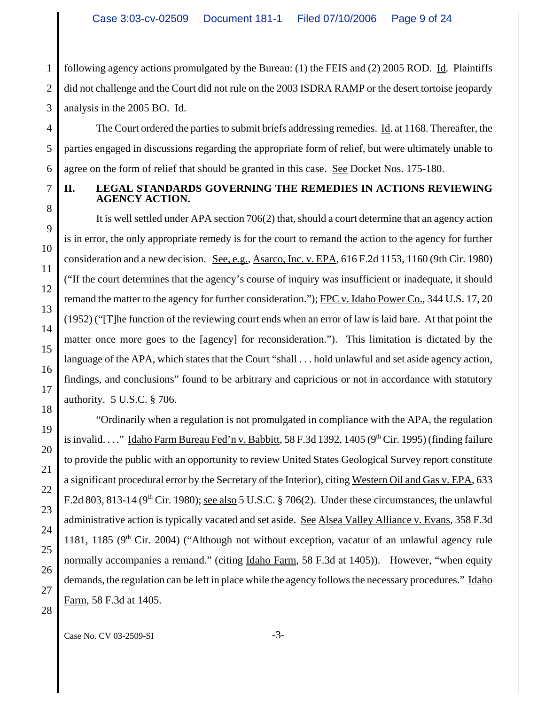1 2 3 following agency actions promulgated by the Bureau: (1) the FEIS and (2) 2005 ROD. Id. Plaintiffs did not challenge and the Court did not rule on the 2003 ISDRA RAMP or the desert tortoise jeopardy analysis in the 2005 BO. Id.

The Court ordered the parties to submit briefs addressing remedies. Id. at 1168. Thereafter, the parties engaged in discussions regarding the appropriate form of relief, but were ultimately unable to agree on the form of relief that should be granted in this case. See Docket Nos. 175-180.

4

## **II. LEGAL STANDARDS GOVERNING THE REMEDIES IN ACTIONS REVIEWING AGENCY ACTION.**

It is well settled under APA section 706(2) that, should a court determine that an agency action is in error, the only appropriate remedy is for the court to remand the action to the agency for further consideration and a new decision. See, e.g., Asarco, Inc. v. EPA, 616 F.2d 1153, 1160 (9th Cir. 1980) ("If the court determines that the agency's course of inquiry was insufficient or inadequate, it should remand the matter to the agency for further consideration."); FPC v. Idaho Power Co., 344 U.S. 17, 20 (1952) ("[T]he function of the reviewing court ends when an error of law is laid bare. At that point the matter once more goes to the [agency] for reconsideration."). This limitation is dictated by the language of the APA, which states that the Court "shall . . . hold unlawful and set aside agency action, findings, and conclusions" found to be arbitrary and capricious or not in accordance with statutory authority. 5 U.S.C. § 706.

"Ordinarily when a regulation is not promulgated in compliance with the APA, the regulation is invalid. . . ." Idaho Farm Bureau Fed'n v. Babbitt, 58 F.3d 1392, 1405 (9<sup>th</sup> Cir. 1995) (finding failure to provide the public with an opportunity to review United States Geological Survey report constitute a significant procedural error by the Secretary of the Interior), citing Western Oil and Gas v. EPA, 633 F.2d 803, 813-14 ( $9<sup>th</sup>$  Cir. 1980); see also 5 U.S.C. § 706(2). Under these circumstances, the unlawful administrative action is typically vacated and set aside. See Alsea Valley Alliance v. Evans, 358 F.3d 1181, 1185 ( $9<sup>th</sup>$  Cir. 2004) ("Although not without exception, vacatur of an unlawful agency rule normally accompanies a remand." (citing Idaho Farm, 58 F.3d at 1405)). However, "when equity demands, the regulation can be left in place while the agency follows the necessary procedures." Idaho Farm, 58 F.3d at 1405.

Case No. CV 03-2509-SI -3-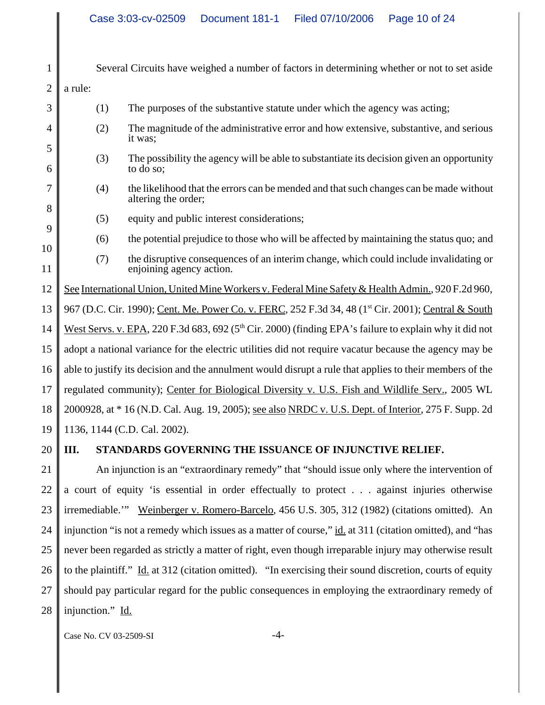| $\mathbf{1}$   | Several Circuits have weighed a number of factors in determining whether or not to set aside              |                                                                                                                   |  |
|----------------|-----------------------------------------------------------------------------------------------------------|-------------------------------------------------------------------------------------------------------------------|--|
| $\overline{2}$ | a rule:                                                                                                   |                                                                                                                   |  |
| 3              | (1)                                                                                                       | The purposes of the substantive statute under which the agency was acting;                                        |  |
| 4              | (2)                                                                                                       | The magnitude of the administrative error and how extensive, substantive, and serious<br>it was;                  |  |
| 5<br>6         | (3)                                                                                                       | The possibility the agency will be able to substantiate its decision given an opportunity<br>to do so;            |  |
| 7<br>8         | (4)                                                                                                       | the likelihood that the errors can be mended and that such changes can be made without<br>altering the order;     |  |
| 9              | (5)                                                                                                       | equity and public interest considerations;                                                                        |  |
| 10             | (6)                                                                                                       | the potential prejudice to those who will be affected by maintaining the status quo; and                          |  |
| 11             | (7)                                                                                                       | the disruptive consequences of an interim change, which could include invalidating or<br>enjoining agency action. |  |
| 12             | See International Union, United Mine Workers v. Federal Mine Safety & Health Admin., 920 F.2d 960,        |                                                                                                                   |  |
| 13             |                                                                                                           | 967 (D.C. Cir. 1990); Cent. Me. Power Co. v. FERC, 252 F.3d 34, 48 (1 <sup>st</sup> Cir. 2001); Central & South   |  |
| 14             | West Servs. v. EPA, 220 F.3d 683, 692 ( $5th$ Cir. 2000) (finding EPA's failure to explain why it did not |                                                                                                                   |  |
| 15             | adopt a national variance for the electric utilities did not require vacatur because the agency may be    |                                                                                                                   |  |
| 16             | able to justify its decision and the annulment would disrupt a rule that applies to their members of the  |                                                                                                                   |  |
| 17             | regulated community); Center for Biological Diversity v. U.S. Fish and Wildlife Serv., 2005 WL            |                                                                                                                   |  |
| 18             | 2000928, at * 16 (N.D. Cal. Aug. 19, 2005); see also NRDC v. U.S. Dept. of Interior, 275 F. Supp. 2d      |                                                                                                                   |  |
| 19             |                                                                                                           | 1136, 1144 (C.D. Cal. 2002).                                                                                      |  |
| 20             | III.                                                                                                      | STANDARDS GOVERNING THE ISSUANCE OF INJUNCTIVE RELIEF.                                                            |  |
| 21             |                                                                                                           | An injunction is an "extraordinary remedy" that "should issue only where the intervention of                      |  |
| $\mathcal{L}$  |                                                                                                           | a count of country the accountial in order offectually to meeted. cooper injuries otherwise                       |  |

22 23 24 25 26 27 28 a court of equity 'is essential in order effectually to protect . . . against injuries otherwise irremediable.'" Weinberger v. Romero-Barcelo, 456 U.S. 305, 312 (1982) (citations omitted). An injunction "is not a remedy which issues as a matter of course," id. at 311 (citation omitted), and "has never been regarded as strictly a matter of right, even though irreparable injury may otherwise result to the plaintiff." Id. at 312 (citation omitted). "In exercising their sound discretion, courts of equity should pay particular regard for the public consequences in employing the extraordinary remedy of injunction." Id.

Case No. CV 03-2509-SI -4-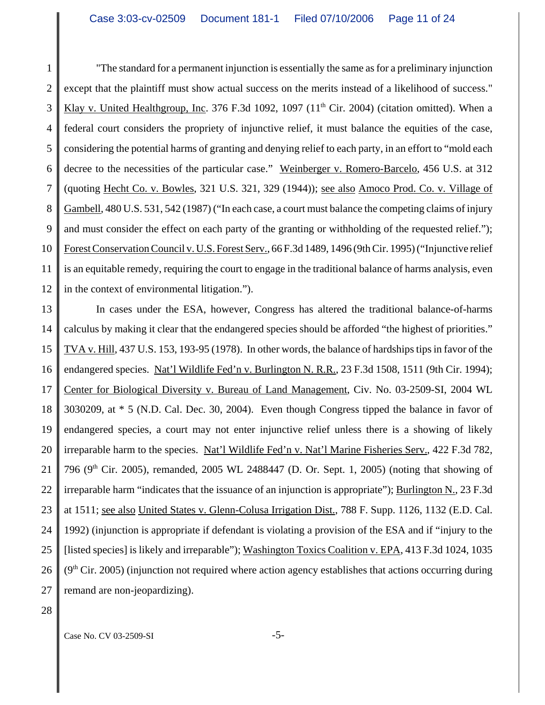1 2 3 4 5 6 7 8 9 10 11 12 "The standard for a permanent injunction is essentially the same as for a preliminary injunction except that the plaintiff must show actual success on the merits instead of a likelihood of success." Klay v. United Healthgroup, Inc. 376 F.3d 1092, 1097  $(11<sup>th</sup> Cir. 2004)$  (citation omitted). When a federal court considers the propriety of injunctive relief, it must balance the equities of the case, considering the potential harms of granting and denying relief to each party, in an effort to "mold each decree to the necessities of the particular case." Weinberger v. Romero-Barcelo, 456 U.S. at 312 (quoting Hecht Co. v. Bowles, 321 U.S. 321, 329 (1944)); see also Amoco Prod. Co. v. Village of Gambell, 480 U.S. 531, 542 (1987) ("In each case, a court must balance the competing claims of injury and must consider the effect on each party of the granting or withholding of the requested relief."); Forest Conservation Council v. U.S. Forest Serv., 66 F.3d 1489, 1496 (9th Cir. 1995) ("Injunctive relief is an equitable remedy, requiring the court to engage in the traditional balance of harms analysis, even in the context of environmental litigation.").

13 14 15 16 17 18 19 20 21 22 23 24 25 26 27 In cases under the ESA, however, Congress has altered the traditional balance-of-harms calculus by making it clear that the endangered species should be afforded "the highest of priorities." TVA v. Hill, 437 U.S. 153, 193-95 (1978). In other words, the balance of hardships tips in favor of the endangered species. Nat'l Wildlife Fed'n v. Burlington N. R.R., 23 F.3d 1508, 1511 (9th Cir. 1994); Center for Biological Diversity v. Bureau of Land Management, Civ. No. 03-2509-SI, 2004 WL 3030209, at \* 5 (N.D. Cal. Dec. 30, 2004). Even though Congress tipped the balance in favor of endangered species, a court may not enter injunctive relief unless there is a showing of likely irreparable harm to the species. Nat'l Wildlife Fed'n v. Nat'l Marine Fisheries Serv., 422 F.3d 782, 796 (9<sup>th</sup> Cir. 2005), remanded, 2005 WL 2488447 (D. Or. Sept. 1, 2005) (noting that showing of irreparable harm "indicates that the issuance of an injunction is appropriate"); Burlington N., 23 F.3d at 1511; see also United States v. Glenn-Colusa Irrigation Dist., 788 F. Supp. 1126, 1132 (E.D. Cal. 1992) (injunction is appropriate if defendant is violating a provision of the ESA and if "injury to the [listed species] is likely and irreparable"); Washington Toxics Coalition v. EPA, 413 F.3d 1024, 1035  $(9<sup>th</sup> Cir. 2005)$  (injunction not required where action agency establishes that actions occurring during remand are non-jeopardizing).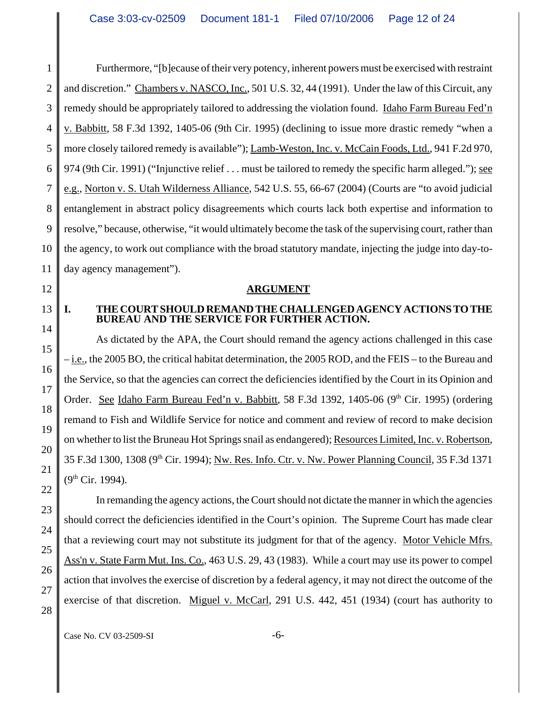1 2 3 4 5 6 7 8 9 10 11 Furthermore, "[b]ecause of their very potency, inherent powers must be exercised with restraint and discretion." Chambers v. NASCO, Inc., 501 U.S. 32, 44 (1991). Under the law of this Circuit, any remedy should be appropriately tailored to addressing the violation found. Idaho Farm Bureau Fed'n v. Babbitt, 58 F.3d 1392, 1405-06 (9th Cir. 1995) (declining to issue more drastic remedy "when a more closely tailored remedy is available"); Lamb-Weston, Inc. v. McCain Foods, Ltd., 941 F.2d 970, 974 (9th Cir. 1991) ("Injunctive relief . . . must be tailored to remedy the specific harm alleged."); see e.g., Norton v. S. Utah Wilderness Alliance, 542 U.S. 55, 66-67 (2004) (Courts are "to avoid judicial entanglement in abstract policy disagreements which courts lack both expertise and information to resolve," because, otherwise, "it would ultimately become the task of the supervising court, rather than the agency, to work out compliance with the broad statutory mandate, injecting the judge into day-today agency management").

- 12
- 13

14

15

16

17

18

19

20

21

22

23

24

25

26

27

28

### **ARGUMENT**

### **I. THE COURT SHOULD REMAND THE CHALLENGED AGENCY ACTIONS TO THE BUREAU AND THE SERVICE FOR FURTHER ACTION.**

As dictated by the APA, the Court should remand the agency actions challenged in this case – i.e., the 2005 BO, the critical habitat determination, the 2005 ROD, and the FEIS – to the Bureau and the Service, so that the agencies can correct the deficiencies identified by the Court in its Opinion and Order. See Idaho Farm Bureau Fed'n v. Babbitt, 58 F.3d 1392, 1405-06 (9<sup>th</sup> Cir. 1995) (ordering remand to Fish and Wildlife Service for notice and comment and review of record to make decision on whether to list the Bruneau Hot Springs snail as endangered); Resources Limited, Inc. v. Robertson, 35 F.3d 1300, 1308 (9th Cir. 1994); Nw. Res. Info. Ctr. v. Nw. Power Planning Council, 35 F.3d 1371  $(9<sup>th</sup> Cir. 1994)$ .

In remanding the agency actions, the Court should not dictate the manner in which the agencies should correct the deficiencies identified in the Court's opinion. The Supreme Court has made clear that a reviewing court may not substitute its judgment for that of the agency. Motor Vehicle Mfrs. Ass'n v. State Farm Mut. Ins. Co., 463 U.S. 29, 43 (1983). While a court may use its power to compel action that involves the exercise of discretion by a federal agency, it may not direct the outcome of the exercise of that discretion. Miguel v. McCarl, 291 U.S. 442, 451 (1934) (court has authority to

Case No. CV 03-2509-SI -6-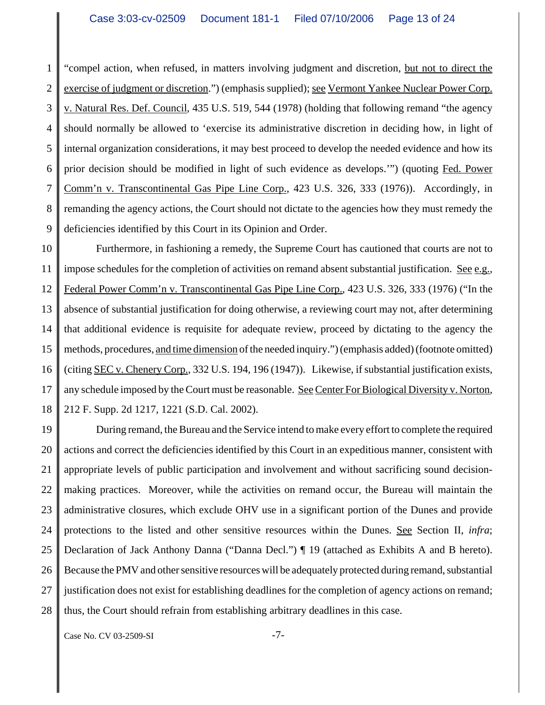1 2 3 4 5 6 7 8 9 "compel action, when refused, in matters involving judgment and discretion, but not to direct the exercise of judgment or discretion.") (emphasis supplied); see Vermont Yankee Nuclear Power Corp. v. Natural Res. Def. Council, 435 U.S. 519, 544 (1978) (holding that following remand "the agency should normally be allowed to 'exercise its administrative discretion in deciding how, in light of internal organization considerations, it may best proceed to develop the needed evidence and how its prior decision should be modified in light of such evidence as develops.'") (quoting Fed. Power Comm'n v. Transcontinental Gas Pipe Line Corp., 423 U.S. 326, 333 (1976)). Accordingly, in remanding the agency actions, the Court should not dictate to the agencies how they must remedy the deficiencies identified by this Court in its Opinion and Order.

10 11 12 13 14 15 16 17 18 Furthermore, in fashioning a remedy, the Supreme Court has cautioned that courts are not to impose schedules for the completion of activities on remand absent substantial justification. See e.g., Federal Power Comm'n v. Transcontinental Gas Pipe Line Corp., 423 U.S. 326, 333 (1976) ("In the absence of substantial justification for doing otherwise, a reviewing court may not, after determining that additional evidence is requisite for adequate review, proceed by dictating to the agency the methods, procedures, and time dimension of the needed inquiry.") (emphasis added) (footnote omitted) (citing SEC v. Chenery Corp., 332 U.S. 194, 196 (1947)). Likewise, if substantial justification exists, any schedule imposed by the Court must be reasonable. See Center For Biological Diversity v. Norton, 212 F. Supp. 2d 1217, 1221 (S.D. Cal. 2002).

19 20 21 22 23 24 25 26 27 28 During remand, the Bureau and the Service intend to make every effort to complete the required actions and correct the deficiencies identified by this Court in an expeditious manner, consistent with appropriate levels of public participation and involvement and without sacrificing sound decisionmaking practices. Moreover, while the activities on remand occur, the Bureau will maintain the administrative closures, which exclude OHV use in a significant portion of the Dunes and provide protections to the listed and other sensitive resources within the Dunes. See Section II, *infra*; Declaration of Jack Anthony Danna ("Danna Decl.") ¶ 19 (attached as Exhibits A and B hereto). Because the PMV and other sensitive resources will be adequately protected during remand, substantial justification does not exist for establishing deadlines for the completion of agency actions on remand; thus, the Court should refrain from establishing arbitrary deadlines in this case.

Case No. CV 03-2509-SI -7-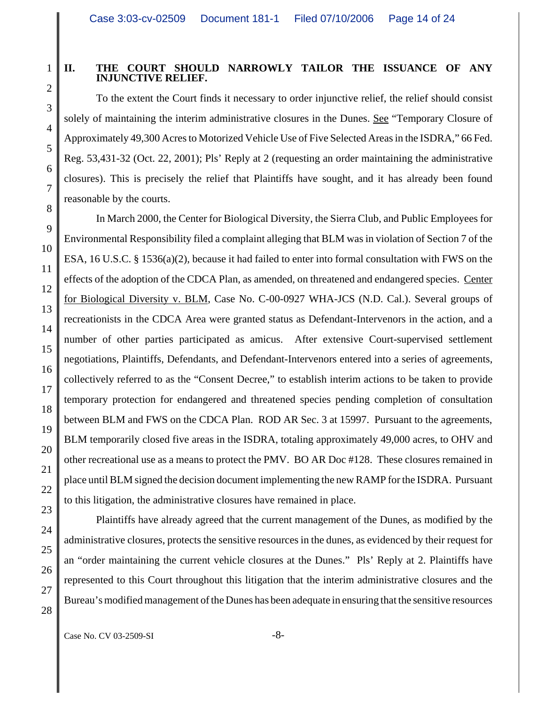2

3

4

5

6

7

8

9

10

11

12

13

14

15

16

17

18

19

20

21

22

23

24

25

26

27

28

## **II. THE COURT SHOULD NARROWLY TAILOR THE ISSUANCE OF ANY INJUNCTIVE RELIEF.**

To the extent the Court finds it necessary to order injunctive relief, the relief should consist solely of maintaining the interim administrative closures in the Dunes. See "Temporary Closure of Approximately 49,300 Acres to Motorized Vehicle Use of Five Selected Areas in the ISDRA," 66 Fed. Reg. 53,431-32 (Oct. 22, 2001); Pls' Reply at 2 (requesting an order maintaining the administrative closures). This is precisely the relief that Plaintiffs have sought, and it has already been found reasonable by the courts.

In March 2000, the Center for Biological Diversity, the Sierra Club, and Public Employees for Environmental Responsibility filed a complaint alleging that BLM was in violation of Section 7 of the ESA, 16 U.S.C. § 1536(a)(2), because it had failed to enter into formal consultation with FWS on the effects of the adoption of the CDCA Plan, as amended, on threatened and endangered species. Center for Biological Diversity v. BLM, Case No. C-00-0927 WHA-JCS (N.D. Cal.). Several groups of recreationists in the CDCA Area were granted status as Defendant-Intervenors in the action, and a number of other parties participated as amicus. After extensive Court-supervised settlement negotiations, Plaintiffs, Defendants, and Defendant-Intervenors entered into a series of agreements, collectively referred to as the "Consent Decree," to establish interim actions to be taken to provide temporary protection for endangered and threatened species pending completion of consultation between BLM and FWS on the CDCA Plan. ROD AR Sec. 3 at 15997. Pursuant to the agreements, BLM temporarily closed five areas in the ISDRA, totaling approximately 49,000 acres, to OHV and other recreational use as a means to protect the PMV. BO AR Doc #128. These closures remained in place until BLM signed the decision document implementing the new RAMP for the ISDRA. Pursuant to this litigation, the administrative closures have remained in place.

Plaintiffs have already agreed that the current management of the Dunes, as modified by the administrative closures, protects the sensitive resources in the dunes, as evidenced by their request for an "order maintaining the current vehicle closures at the Dunes." Pls' Reply at 2. Plaintiffs have represented to this Court throughout this litigation that the interim administrative closures and the Bureau's modified management of the Dunes has been adequate in ensuring that the sensitive resources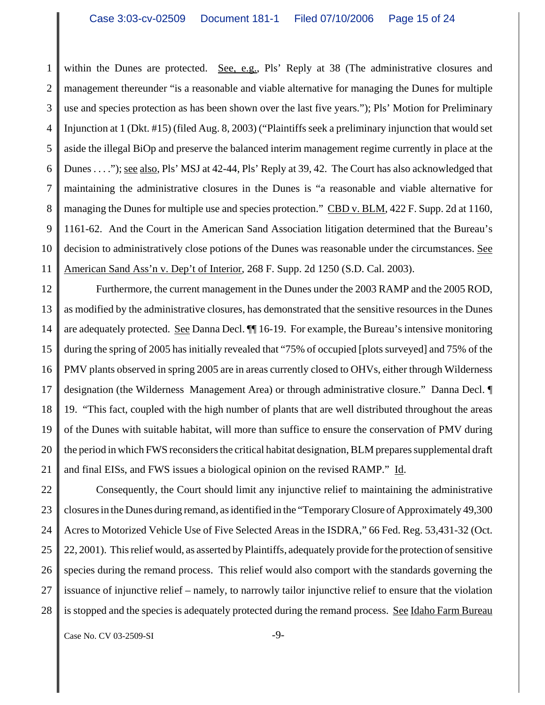1 2 3 4 5 6 7 8 9 10 11 within the Dunes are protected. See, e.g., Pls' Reply at 38 (The administrative closures and management thereunder "is a reasonable and viable alternative for managing the Dunes for multiple use and species protection as has been shown over the last five years."); Pls' Motion for Preliminary Injunction at 1 (Dkt. #15) (filed Aug. 8, 2003) ("Plaintiffs seek a preliminary injunction that would set aside the illegal BiOp and preserve the balanced interim management regime currently in place at the Dunes . . . ."); see also, Pls' MSJ at 42-44, Pls' Reply at 39, 42. The Court has also acknowledged that maintaining the administrative closures in the Dunes is "a reasonable and viable alternative for managing the Dunes for multiple use and species protection." CBD v. BLM, 422 F. Supp. 2d at 1160, 1161-62. And the Court in the American Sand Association litigation determined that the Bureau's decision to administratively close potions of the Dunes was reasonable under the circumstances. See American Sand Ass'n v. Dep't of Interior, 268 F. Supp. 2d 1250 (S.D. Cal. 2003).

12 13 14 15 16 17 18 19 20 21 Furthermore, the current management in the Dunes under the 2003 RAMP and the 2005 ROD, as modified by the administrative closures, has demonstrated that the sensitive resources in the Dunes are adequately protected. See Danna Decl.  $\P$  16-19. For example, the Bureau's intensive monitoring during the spring of 2005 has initially revealed that "75% of occupied [plots surveyed] and 75% of the PMV plants observed in spring 2005 are in areas currently closed to OHVs, either through Wilderness designation (the Wilderness Management Area) or through administrative closure." Danna Decl. ¶ 19. "This fact, coupled with the high number of plants that are well distributed throughout the areas of the Dunes with suitable habitat, will more than suffice to ensure the conservation of PMV during the period in which FWS reconsiders the critical habitat designation, BLM prepares supplemental draft and final EISs, and FWS issues a biological opinion on the revised RAMP." Id.

22 23 24 25 26 27 28 Consequently, the Court should limit any injunctive relief to maintaining the administrative closures in the Dunes during remand, as identified in the "Temporary Closure of Approximately 49,300 Acres to Motorized Vehicle Use of Five Selected Areas in the ISDRA," 66 Fed. Reg. 53,431-32 (Oct. 22, 2001). This relief would, as asserted by Plaintiffs, adequately provide for the protection of sensitive species during the remand process. This relief would also comport with the standards governing the issuance of injunctive relief – namely, to narrowly tailor injunctive relief to ensure that the violation is stopped and the species is adequately protected during the remand process. See Idaho Farm Bureau

Case No. CV 03-2509-SI -9-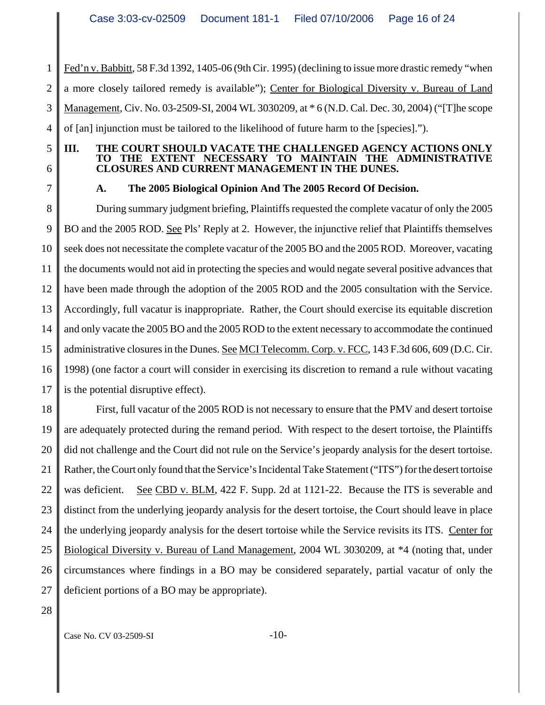1 2 3 4 Fed'n v. Babbitt, 58 F.3d 1392, 1405-06 (9th Cir. 1995) (declining to issue more drastic remedy "when a more closely tailored remedy is available"); Center for Biological Diversity v. Bureau of Land Management, Civ. No. 03-2509-SI, 2004 WL 3030209, at \* 6 (N.D. Cal. Dec. 30, 2004) ("[T]he scope of [an] injunction must be tailored to the likelihood of future harm to the [species].").

**III. THE COURT SHOULD VACATE THE CHALLENGED AGENCY ACTIONS ONLY**

**TO THE EXTENT NECESSARY TO MAINTAIN THE ADMINISTRATIVE**

- 5
- 6 7

# **A. The 2005 Biological Opinion And The 2005 Record Of Decision.**

**CLOSURES AND CURRENT MANAGEMENT IN THE DUNES.**

8 9 10 11 12 13 14 15 16 17 During summary judgment briefing, Plaintiffs requested the complete vacatur of only the 2005 BO and the 2005 ROD. See Pls' Reply at 2. However, the injunctive relief that Plaintiffs themselves seek does not necessitate the complete vacatur of the 2005 BO and the 2005 ROD. Moreover, vacating the documents would not aid in protecting the species and would negate several positive advances that have been made through the adoption of the 2005 ROD and the 2005 consultation with the Service. Accordingly, full vacatur is inappropriate. Rather, the Court should exercise its equitable discretion and only vacate the 2005 BO and the 2005 ROD to the extent necessary to accommodate the continued administrative closures in the Dunes. See MCI Telecomm. Corp. v. FCC, 143 F.3d 606, 609 (D.C. Cir. 1998) (one factor a court will consider in exercising its discretion to remand a rule without vacating is the potential disruptive effect).

18 19 20 21 22 23 24 25 26 27 First, full vacatur of the 2005 ROD is not necessary to ensure that the PMV and desert tortoise are adequately protected during the remand period. With respect to the desert tortoise, the Plaintiffs did not challenge and the Court did not rule on the Service's jeopardy analysis for the desert tortoise. Rather, the Court only found that the Service's Incidental Take Statement ("ITS") for the desert tortoise was deficient. See CBD v. BLM, 422 F. Supp. 2d at 1121-22. Because the ITS is severable and distinct from the underlying jeopardy analysis for the desert tortoise, the Court should leave in place the underlying jeopardy analysis for the desert tortoise while the Service revisits its ITS. Center for Biological Diversity v. Bureau of Land Management, 2004 WL 3030209, at \*4 (noting that, under circumstances where findings in a BO may be considered separately, partial vacatur of only the deficient portions of a BO may be appropriate).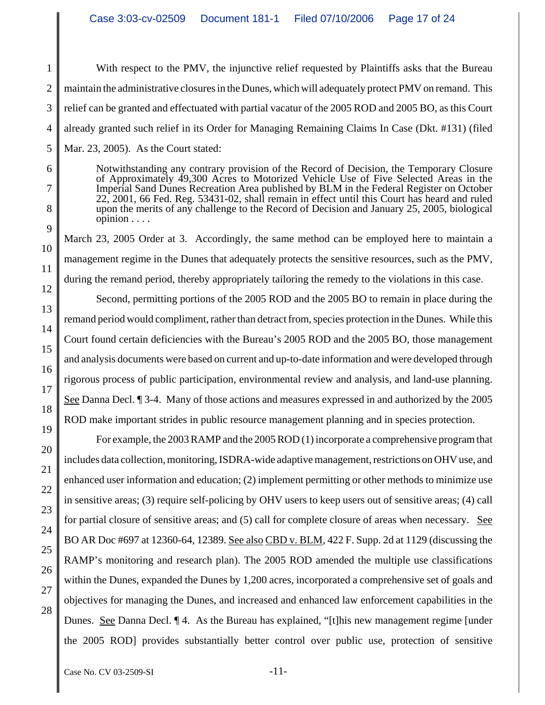With respect to the PMV, the injunctive relief requested by Plaintiffs asks that the Bureau maintain the administrative closures in the Dunes, which will adequately protect PMV on remand. This relief can be granted and effectuated with partial vacatur of the 2005 ROD and 2005 BO, as this Court already granted such relief in its Order for Managing Remaining Claims In Case (Dkt. #131) (filed Mar. 23, 2005). As the Court stated:

Notwithstanding any contrary provision of the Record of Decision, the Temporary Closure of Approximately 49,300 Acres to Motorized Vehicle Use of Five Selected Areas in the Imperial Sand Dunes Recreation Area published by BLM in the Federal Register on October 22, 2001, 66 Fed. Reg. 53431-02, shall remain in effect until this Court has heard and ruled upon the merits of any challenge to the Record of Decision and January 25, 2005, biological opinion . . . .

March 23, 2005 Order at 3. Accordingly, the same method can be employed here to maintain a management regime in the Dunes that adequately protects the sensitive resources, such as the PMV, during the remand period, thereby appropriately tailoring the remedy to the violations in this case.

Second, permitting portions of the 2005 ROD and the 2005 BO to remain in place during the remand period would compliment, rather than detract from, species protection in the Dunes. While this Court found certain deficiencies with the Bureau's 2005 ROD and the 2005 BO, those management and analysis documents were based on current and up-to-date information and were developed through rigorous process of public participation, environmental review and analysis, and land-use planning. See Danna Decl. ¶ 3-4. Many of those actions and measures expressed in and authorized by the 2005 ROD make important strides in public resource management planning and in species protection.

For example, the 2003 RAMP and the 2005 ROD (1) incorporate a comprehensive program that includes data collection, monitoring, ISDRA-wide adaptive management, restrictions on OHV use, and enhanced user information and education; (2) implement permitting or other methods to minimize use in sensitive areas; (3) require self-policing by OHV users to keep users out of sensitive areas; (4) call for partial closure of sensitive areas; and (5) call for complete closure of areas when necessary. See BO AR Doc #697 at 12360-64, 12389. See also CBD v. BLM, 422 F. Supp. 2d at 1129 (discussing the RAMP's monitoring and research plan). The 2005 ROD amended the multiple use classifications within the Dunes, expanded the Dunes by 1,200 acres, incorporated a comprehensive set of goals and objectives for managing the Dunes, and increased and enhanced law enforcement capabilities in the Dunes. See Danna Decl. ¶ 4. As the Bureau has explained, "[t]his new management regime [under the 2005 ROD] provides substantially better control over public use, protection of sensitive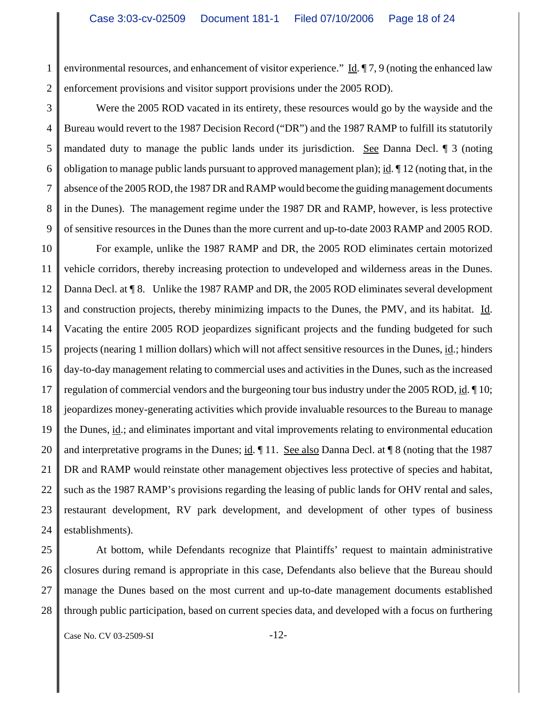1 2 environmental resources, and enhancement of visitor experience." Id. ¶ 7, 9 (noting the enhanced law enforcement provisions and visitor support provisions under the 2005 ROD).

3 4 5 6 7 8 9 Were the 2005 ROD vacated in its entirety, these resources would go by the wayside and the Bureau would revert to the 1987 Decision Record ("DR") and the 1987 RAMP to fulfill its statutorily mandated duty to manage the public lands under its jurisdiction. See Danna Decl. ¶ 3 (noting obligation to manage public lands pursuant to approved management plan); id. ¶ 12 (noting that, in the absence of the 2005 ROD, the 1987 DR and RAMP would become the guiding management documents in the Dunes). The management regime under the 1987 DR and RAMP, however, is less protective of sensitive resources in the Dunes than the more current and up-to-date 2003 RAMP and 2005 ROD.

10 11 12 13 14 15 16 17 18 19 20 21 22 23 24 For example, unlike the 1987 RAMP and DR, the 2005 ROD eliminates certain motorized vehicle corridors, thereby increasing protection to undeveloped and wilderness areas in the Dunes. Danna Decl. at ¶ 8. Unlike the 1987 RAMP and DR, the 2005 ROD eliminates several development and construction projects, thereby minimizing impacts to the Dunes, the PMV, and its habitat. Id. Vacating the entire 2005 ROD jeopardizes significant projects and the funding budgeted for such projects (nearing 1 million dollars) which will not affect sensitive resources in the Dunes, id.; hinders day-to-day management relating to commercial uses and activities in the Dunes, such as the increased regulation of commercial vendors and the burgeoning tour bus industry under the 2005 ROD, id. ¶ 10; jeopardizes money-generating activities which provide invaluable resources to the Bureau to manage the Dunes, id.; and eliminates important and vital improvements relating to environmental education and interpretative programs in the Dunes; id.  $\parallel$  11. See also Danna Decl. at  $\parallel$  8 (noting that the 1987 DR and RAMP would reinstate other management objectives less protective of species and habitat, such as the 1987 RAMP's provisions regarding the leasing of public lands for OHV rental and sales, restaurant development, RV park development, and development of other types of business establishments).

26

25 27 28 At bottom, while Defendants recognize that Plaintiffs' request to maintain administrative closures during remand is appropriate in this case, Defendants also believe that the Bureau should manage the Dunes based on the most current and up-to-date management documents established through public participation, based on current species data, and developed with a focus on furthering

Case No. CV 03-2509-SI -12-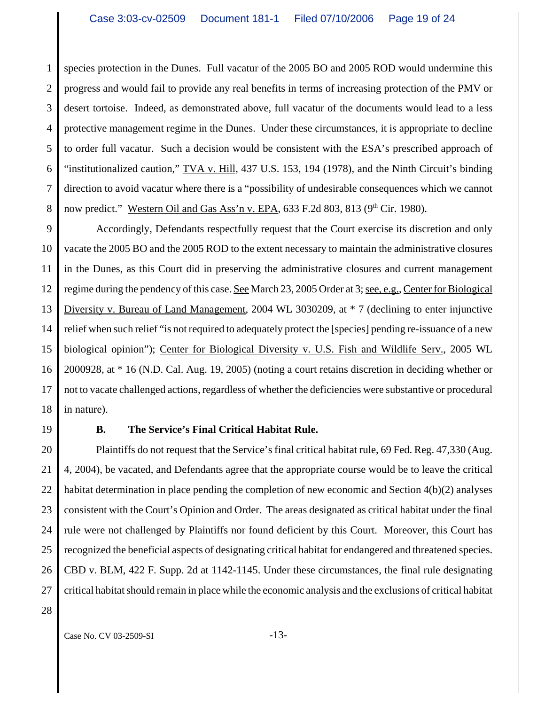1 2 3 4 5 6 7 8 species protection in the Dunes. Full vacatur of the 2005 BO and 2005 ROD would undermine this progress and would fail to provide any real benefits in terms of increasing protection of the PMV or desert tortoise. Indeed, as demonstrated above, full vacatur of the documents would lead to a less protective management regime in the Dunes. Under these circumstances, it is appropriate to decline to order full vacatur. Such a decision would be consistent with the ESA's prescribed approach of "institutionalized caution,"  $\underline{TVA}$  v. Hill, 437 U.S. 153, 194 (1978), and the Ninth Circuit's binding direction to avoid vacatur where there is a "possibility of undesirable consequences which we cannot now predict." Western Oil and Gas Ass'n v. EPA,  $633$  F.2d  $803$ ,  $813$  ( $9<sup>th</sup>$  Cir. 1980).

9 10 11 12 13 14 15 16 17 18 Accordingly, Defendants respectfully request that the Court exercise its discretion and only vacate the 2005 BO and the 2005 ROD to the extent necessary to maintain the administrative closures in the Dunes, as this Court did in preserving the administrative closures and current management regime during the pendency of this case. See March 23, 2005 Order at 3; see, e.g., Center for Biological Diversity v. Bureau of Land Management, 2004 WL 3030209, at \* 7 (declining to enter injunctive relief when such relief "is not required to adequately protect the [species] pending re-issuance of a new biological opinion"); Center for Biological Diversity v. U.S. Fish and Wildlife Serv., 2005 WL 2000928, at \* 16 (N.D. Cal. Aug. 19, 2005) (noting a court retains discretion in deciding whether or not to vacate challenged actions, regardless of whether the deficiencies were substantive or procedural in nature).

19

## **B. The Service's Final Critical Habitat Rule.**

20 21 22 23 24 25 26 27 Plaintiffs do not request that the Service's final critical habitat rule, 69 Fed. Reg. 47,330 (Aug. 4, 2004), be vacated, and Defendants agree that the appropriate course would be to leave the critical habitat determination in place pending the completion of new economic and Section 4(b)(2) analyses consistent with the Court's Opinion and Order. The areas designated as critical habitat under the final rule were not challenged by Plaintiffs nor found deficient by this Court. Moreover, this Court has recognized the beneficial aspects of designating critical habitat for endangered and threatened species. CBD v. BLM, 422 F. Supp. 2d at 1142-1145. Under these circumstances, the final rule designating critical habitat should remain in place while the economic analysis and the exclusions of critical habitat

28

Case No. CV 03-2509-SI -13-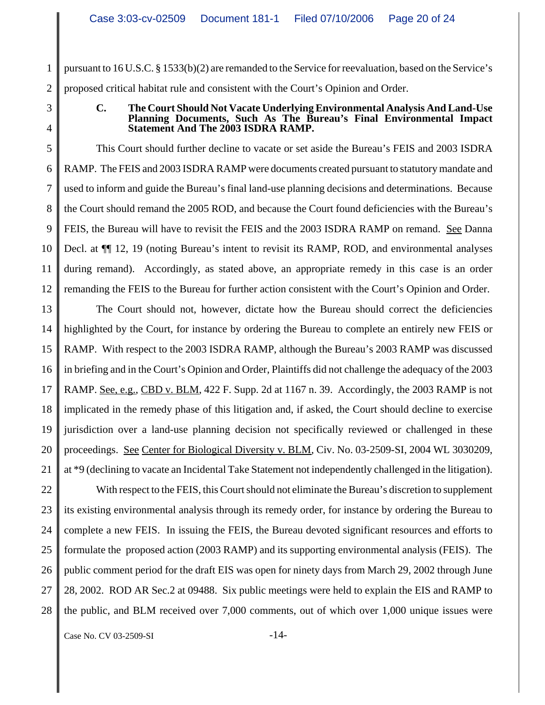1 2 pursuant to 16 U.S.C. § 1533(b)(2) are remanded to the Service for reevaluation, based on the Service's proposed critical habitat rule and consistent with the Court's Opinion and Order.

3 4

### **C. The Court Should Not Vacate Underlying Environmental Analysis And Land-Use Planning Documents, Such As The Bureau's Final Environmental Impact Statement And The 2003 ISDRA RAMP.**

5 6 7 8 9 10 11 12 This Court should further decline to vacate or set aside the Bureau's FEIS and 2003 ISDRA RAMP. The FEIS and 2003 ISDRA RAMP were documents created pursuant to statutory mandate and used to inform and guide the Bureau's final land-use planning decisions and determinations. Because the Court should remand the 2005 ROD, and because the Court found deficiencies with the Bureau's FEIS, the Bureau will have to revisit the FEIS and the 2003 ISDRA RAMP on remand. See Danna Decl. at ¶¶ 12, 19 (noting Bureau's intent to revisit its RAMP, ROD, and environmental analyses during remand). Accordingly, as stated above, an appropriate remedy in this case is an order remanding the FEIS to the Bureau for further action consistent with the Court's Opinion and Order.

13 14 15 16 17 18 19 20 21 The Court should not, however, dictate how the Bureau should correct the deficiencies highlighted by the Court, for instance by ordering the Bureau to complete an entirely new FEIS or RAMP. With respect to the 2003 ISDRA RAMP, although the Bureau's 2003 RAMP was discussed in briefing and in the Court's Opinion and Order, Plaintiffs did not challenge the adequacy of the 2003 RAMP. See, e.g., CBD v. BLM, 422 F. Supp. 2d at 1167 n. 39. Accordingly, the 2003 RAMP is not implicated in the remedy phase of this litigation and, if asked, the Court should decline to exercise jurisdiction over a land-use planning decision not specifically reviewed or challenged in these proceedings. See Center for Biological Diversity v. BLM, Civ. No. 03-2509-SI, 2004 WL 3030209, at \*9 (declining to vacate an Incidental Take Statement not independently challenged in the litigation).

22 23 24 25 26 27 28 With respect to the FEIS, this Court should not eliminate the Bureau's discretion to supplement its existing environmental analysis through its remedy order, for instance by ordering the Bureau to complete a new FEIS. In issuing the FEIS, the Bureau devoted significant resources and efforts to formulate the proposed action (2003 RAMP) and its supporting environmental analysis (FEIS). The public comment period for the draft EIS was open for ninety days from March 29, 2002 through June 28, 2002. ROD AR Sec.2 at 09488. Six public meetings were held to explain the EIS and RAMP to the public, and BLM received over 7,000 comments, out of which over 1,000 unique issues were

Case No. CV 03-2509-SI -14-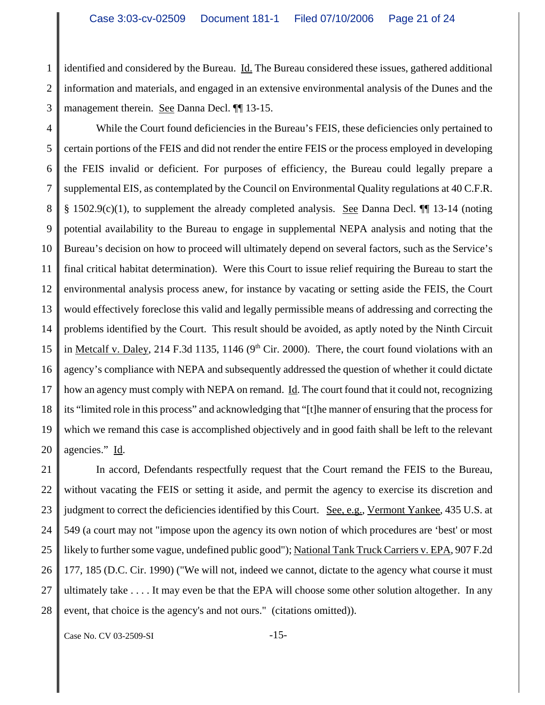1 2 3 identified and considered by the Bureau. Id. The Bureau considered these issues, gathered additional information and materials, and engaged in an extensive environmental analysis of the Dunes and the management therein. See Danna Decl. ¶¶ 13-15.

4 5 6 7 8 9 10 11 12 13 14 15 16 17 18 19 20 While the Court found deficiencies in the Bureau's FEIS, these deficiencies only pertained to certain portions of the FEIS and did not render the entire FEIS or the process employed in developing the FEIS invalid or deficient. For purposes of efficiency, the Bureau could legally prepare a supplemental EIS, as contemplated by the Council on Environmental Quality regulations at 40 C.F.R.  $§$  1502.9(c)(1), to supplement the already completed analysis. See Danna Decl.  $\P$  13-14 (noting potential availability to the Bureau to engage in supplemental NEPA analysis and noting that the Bureau's decision on how to proceed will ultimately depend on several factors, such as the Service's final critical habitat determination). Were this Court to issue relief requiring the Bureau to start the environmental analysis process anew, for instance by vacating or setting aside the FEIS, the Court would effectively foreclose this valid and legally permissible means of addressing and correcting the problems identified by the Court. This result should be avoided, as aptly noted by the Ninth Circuit in Metcalf v. Daley, 214 F.3d 1135, 1146 ( $9<sup>th</sup>$  Cir. 2000). There, the court found violations with an agency's compliance with NEPA and subsequently addressed the question of whether it could dictate how an agency must comply with NEPA on remand. Id. The court found that it could not, recognizing its "limited role in this process" and acknowledging that "[t]he manner of ensuring that the process for which we remand this case is accomplished objectively and in good faith shall be left to the relevant agencies." Id.

21 22 23 24 25 26 27 28 In accord, Defendants respectfully request that the Court remand the FEIS to the Bureau, without vacating the FEIS or setting it aside, and permit the agency to exercise its discretion and judgment to correct the deficiencies identified by this Court. See, e.g., Vermont Yankee, 435 U.S. at 549 (a court may not "impose upon the agency its own notion of which procedures are 'best' or most likely to further some vague, undefined public good"); National Tank Truck Carriers v. EPA, 907 F.2d 177, 185 (D.C. Cir. 1990) ("We will not, indeed we cannot, dictate to the agency what course it must ultimately take . . . . It may even be that the EPA will choose some other solution altogether. In any event, that choice is the agency's and not ours." (citations omitted)).

Case No. CV 03-2509-SI -15-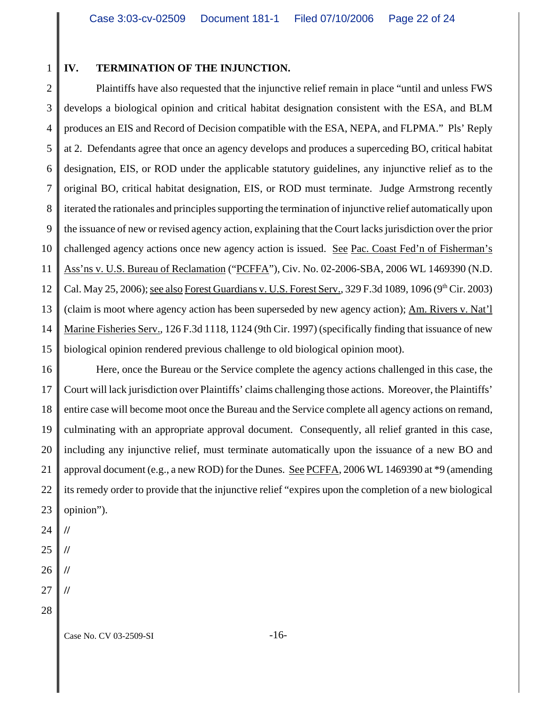## **IV. TERMINATION OF THE INJUNCTION.**

2 3 4 5 6 7 8 9 10 11 12 13 14 15 Plaintiffs have also requested that the injunctive relief remain in place "until and unless FWS develops a biological opinion and critical habitat designation consistent with the ESA, and BLM produces an EIS and Record of Decision compatible with the ESA, NEPA, and FLPMA." Pls' Reply at 2. Defendants agree that once an agency develops and produces a superceding BO, critical habitat designation, EIS, or ROD under the applicable statutory guidelines, any injunctive relief as to the original BO, critical habitat designation, EIS, or ROD must terminate. Judge Armstrong recently iterated the rationales and principles supporting the termination of injunctive relief automatically upon the issuance of new or revised agency action, explaining that the Court lacks jurisdiction over the prior challenged agency actions once new agency action is issued. See Pac. Coast Fed'n of Fisherman's Ass'ns v. U.S. Bureau of Reclamation ("PCFFA"), Civ. No. 02-2006-SBA, 2006 WL 1469390 (N.D. Cal. May 25, 2006); <u>see also Forest Guardians v. U.S. Forest Serv.</u>, 329 F.3d 1089, 1096 (9<sup>th</sup> Cir. 2003) (claim is moot where agency action has been superseded by new agency action); Am. Rivers v. Nat'l Marine Fisheries Serv., 126 F.3d 1118, 1124 (9th Cir. 1997) (specifically finding that issuance of new biological opinion rendered previous challenge to old biological opinion moot).

16 17 18 19 20 21 22 23 Here, once the Bureau or the Service complete the agency actions challenged in this case, the Court will lack jurisdiction over Plaintiffs' claims challenging those actions. Moreover, the Plaintiffs' entire case will become moot once the Bureau and the Service complete all agency actions on remand, culminating with an appropriate approval document. Consequently, all relief granted in this case, including any injunctive relief, must terminate automatically upon the issuance of a new BO and approval document (e.g., a new ROD) for the Dunes. See PCFFA, 2006 WL 1469390 at \*9 (amending its remedy order to provide that the injunctive relief "expires upon the completion of a new biological opinion").

- 24 **//**
- 25 **//**
- 26 **//**
- 27 **//**
- 28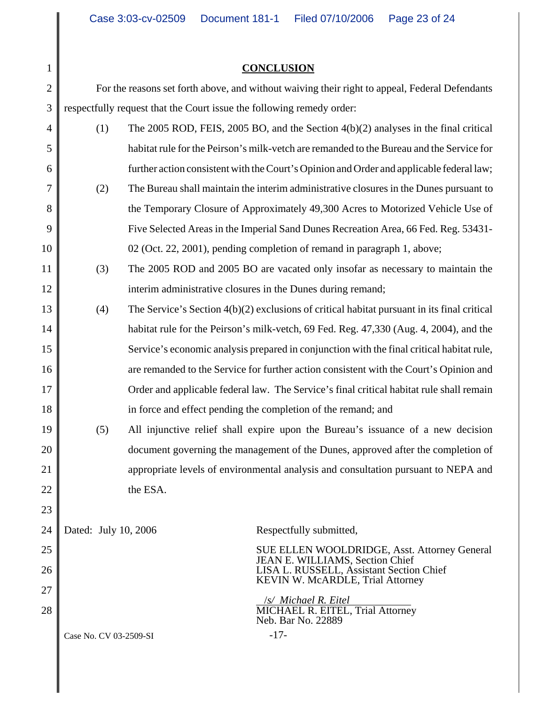## **CONCLUSION**

1

18

23

2 3 For the reasons set forth above, and without waiving their right to appeal, Federal Defendants respectfully request that the Court issue the following remedy order:

| $\overline{4}$ | (1) | The 2005 ROD, FEIS, 2005 BO, and the Section $4(b)(2)$ analyses in the final critical         |
|----------------|-----|-----------------------------------------------------------------------------------------------|
| 5              |     | habitat rule for the Peirson's milk-vetch are remanded to the Bureau and the Service for      |
| 6              |     | further action consistent with the Court's Opinion and Order and applicable federal law;      |
| 7              | (2) | The Bureau shall maintain the interim administrative closures in the Dunes pursuant to        |
| 8              |     | the Temporary Closure of Approximately 49,300 Acres to Motorized Vehicle Use of               |
| 9              |     | Five Selected Areas in the Imperial Sand Dunes Recreation Area, 66 Fed. Reg. 53431-           |
| 10             |     | 02 (Oct. 22, 2001), pending completion of remand in paragraph 1, above;                       |
| 11             | (3) | The 2005 ROD and 2005 BO are vacated only insofar as necessary to maintain the                |
| 12             |     | interim administrative closures in the Dunes during remand;                                   |
| 13             | (4) | The Service's Section $4(b)(2)$ exclusions of critical habitat pursuant in its final critical |
| 14             |     | habitat rule for the Peirson's milk-vetch, 69 Fed. Reg. 47,330 (Aug. 4, 2004), and the        |
| 15             |     | Service's economic analysis prepared in conjunction with the final critical habitat rule,     |
| 16             |     | are remanded to the Service for further action consistent with the Court's Opinion and        |
| 17             |     | Order and applicable federal law. The Service's final critical habitat rule shall remain      |

- in force and effect pending the completion of the remand; and
- 19 20 21 22 (5) All injunctive relief shall expire upon the Bureau's issuance of a new decision document governing the management of the Dunes, approved after the completion of appropriate levels of environmental analysis and consultation pursuant to NEPA and the ESA.

| 24 | Dated: July 10, 2006   | Respectfully submitted,                                                         |
|----|------------------------|---------------------------------------------------------------------------------|
| 25 |                        | SUE ELLEN WOOLDRIDGE, Asst. Attorney General<br>JEAN E. WILLIAMS, Section Chief |
| 26 |                        | LISA L. RUSSELL, Assistant Section Chief<br>KEVIN W. McARDLE, Trial Attorney    |
| 27 |                        |                                                                                 |
| 28 |                        | /s/ Michael R. Eitel<br>MICHAEL R. EITEL, Trial Attorney<br>Neb. Bar No. 22889  |
|    | Case No. CV 03-2509-SI | $-17-$                                                                          |